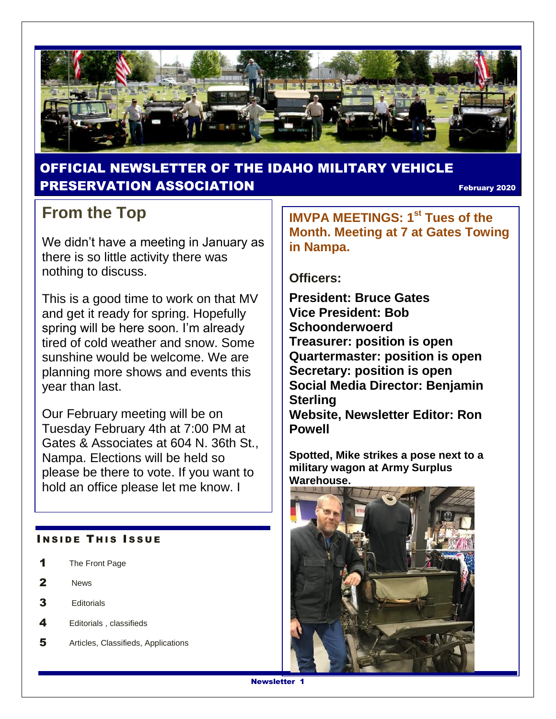

### OFFICIAL NEWSLETTER OF THE IDAHO MILITARY VEHICLE **PRESERVATION ASSOCIATION Example 2020** February 2020

## **From the Top**

We didn't have a meeting in January as there is so little activity there was nothing to discuss.

This is a good time to work on that MV and get it ready for spring. Hopefully spring will be here soon. I'm already tired of cold weather and snow. Some sunshine would be welcome. We are planning more shows and events this year than last.

Our February meeting will be on Tuesday February 4th at 7:00 PM at Gates & Associates at 604 N. 36th St., Nampa. Elections will be held so please be there to vote. If you want to hold an office please let me know. I

#### **INSIDE THIS ISSUE**

- 1 The Front Page
- 2 News
- 3 Editorials
- 4 Editorials, classifieds
- 5 Articles, Classifieds, Applications

**IMVPA MEETINGS: 1st Tues of the Month. Meeting at 7 at Gates Towing in Nampa.**

#### **Officers:**

**President: Bruce Gates Vice President: Bob Schoonderwoerd Treasurer: position is open Quartermaster: position is open Secretary: position is open Social Media Director: Benjamin Sterling Website, Newsletter Editor: Ron Powell**

**Spotted, Mike strikes a pose next to a military wagon at Army Surplus Warehouse.**

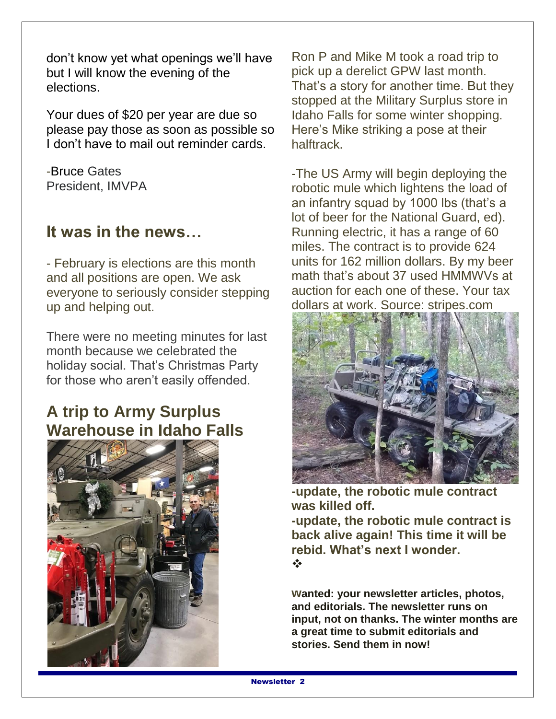don't know yet what openings we'll have but I will know the evening of the elections.

Your dues of \$20 per year are due so please pay those as soon as possible so I don't have to mail out reminder cards.

-Bruce Gates President, IMVPA

### **It was in the news…**

- February is elections are this month and all positions are open. We ask everyone to seriously consider stepping up and helping out.

There were no meeting minutes for last month because we celebrated the holiday social. That's Christmas Party for those who aren't easily offended.

### **A trip to Army Surplus Warehouse in Idaho Falls**



Ron P and Mike M took a road trip to pick up a derelict GPW last month. That's a story for another time. But they stopped at the Military Surplus store in Idaho Falls for some winter shopping. Here's Mike striking a pose at their halftrack.

-The US Army will begin deploying the robotic mule which lightens the load of an infantry squad by 1000 lbs (that's a lot of beer for the National Guard, ed). Running electric, it has a range of 60 miles. The contract is to provide 624 units for 162 million dollars. By my beer math that's about 37 used HMMWVs at auction for each one of these. Your tax dollars at work. Source: stripes.com



**-update, the robotic mule contract was killed off.**

**-update, the robotic mule contract is back alive again! This time it will be rebid. What's next I wonder.**  $\bullet^*$ 

**wanted: your newsletter articles, photos, and editorials. The newsletter runs on input, not on thanks. The winter months are a great time to submit editorials and stories. Send them in now!**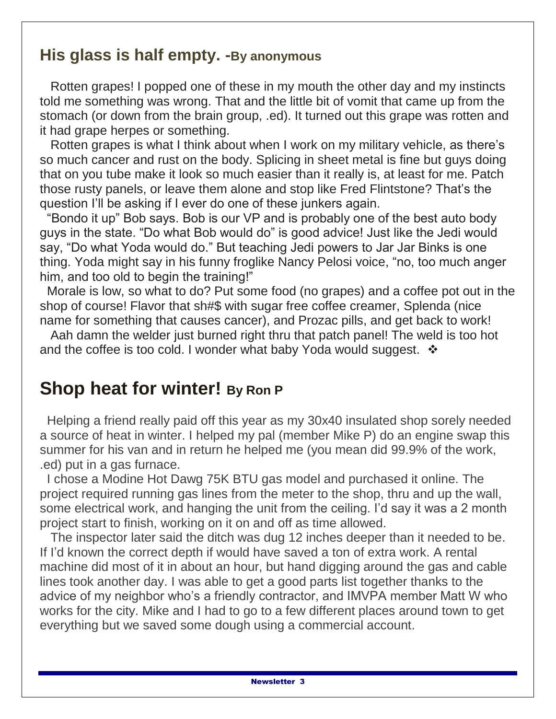### **His glass is half empty. -By anonymous**

 Rotten grapes! I popped one of these in my mouth the other day and my instincts told me something was wrong. That and the little bit of vomit that came up from the stomach (or down from the brain group, .ed). It turned out this grape was rotten and it had grape herpes or something.

 Rotten grapes is what I think about when I work on my military vehicle, as there's so much cancer and rust on the body. Splicing in sheet metal is fine but guys doing that on you tube make it look so much easier than it really is, at least for me. Patch those rusty panels, or leave them alone and stop like Fred Flintstone? That's the question I'll be asking if I ever do one of these junkers again.

 "Bondo it up" Bob says. Bob is our VP and is probably one of the best auto body guys in the state. "Do what Bob would do" is good advice! Just like the Jedi would say, "Do what Yoda would do." But teaching Jedi powers to Jar Jar Binks is one thing. Yoda might say in his funny froglike Nancy Pelosi voice, "no, too much anger him, and too old to begin the training!"

 Morale is low, so what to do? Put some food (no grapes) and a coffee pot out in the shop of course! Flavor that sh#\$ with sugar free coffee creamer, Splenda (nice name for something that causes cancer), and Prozac pills, and get back to work!

 Aah damn the welder just burned right thru that patch panel! The weld is too hot and the coffee is too cold. I wonder what baby Yoda would suggest.  $\div$ 

## **Shop heat for winter! By Ron P**

 Helping a friend really paid off this year as my 30x40 insulated shop sorely needed a source of heat in winter. I helped my pal (member Mike P) do an engine swap this summer for his van and in return he helped me (you mean did 99.9% of the work, .ed) put in a gas furnace.

 I chose a Modine Hot Dawg 75K BTU gas model and purchased it online. The project required running gas lines from the meter to the shop, thru and up the wall, some electrical work, and hanging the unit from the ceiling. I'd say it was a 2 month project start to finish, working on it on and off as time allowed.

 The inspector later said the ditch was dug 12 inches deeper than it needed to be. If I'd known the correct depth if would have saved a ton of extra work. A rental machine did most of it in about an hour, but hand digging around the gas and cable lines took another day. I was able to get a good parts list together thanks to the advice of my neighbor who's a friendly contractor, and IMVPA member Matt W who works for the city. Mike and I had to go to a few different places around town to get everything but we saved some dough using a commercial account.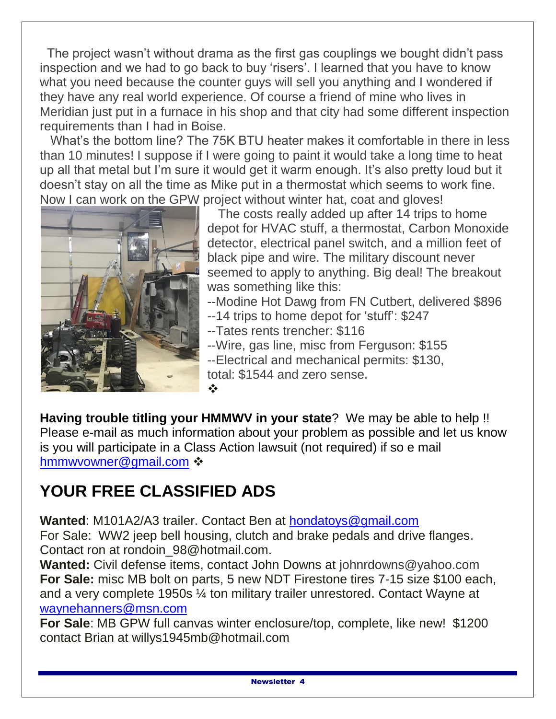The project wasn't without drama as the first gas couplings we bought didn't pass inspection and we had to go back to buy 'risers'. I learned that you have to know what you need because the counter guys will sell you anything and I wondered if they have any real world experience. Of course a friend of mine who lives in Meridian just put in a furnace in his shop and that city had some different inspection requirements than I had in Boise.

 What's the bottom line? The 75K BTU heater makes it comfortable in there in less than 10 minutes! I suppose if I were going to paint it would take a long time to heat up all that metal but I'm sure it would get it warm enough. It's also pretty loud but it doesn't stay on all the time as Mike put in a thermostat which seems to work fine. Now I can work on the GPW project without winter hat, coat and gloves!



 The costs really added up after 14 trips to home depot for HVAC stuff, a thermostat, Carbon Monoxide detector, electrical panel switch, and a million feet of black pipe and wire. The military discount never seemed to apply to anything. Big deal! The breakout was something like this:

--Modine Hot Dawg from FN Cutbert, delivered \$896

- --14 trips to home depot for 'stuff': \$247
- --Tates rents trencher: \$116
- --Wire, gas line, misc from Ferguson: \$155 --Electrical and mechanical permits: \$130, total: \$1544 and zero sense.

**Having trouble titling your HMMWV in your state**? We may be able to help !! Please e-mail as much information about your problem as possible and let us know is you will participate in a Class Action lawsuit (not required) if so e mail [hmmwvowner@gmail.com](mailto:hmmwvowner@gmail.com) :

 $\frac{1}{2}$ 

# **YOUR FREE CLASSIFIED ADS**

**Wanted**: M101A2/A3 trailer. Contact Ben at [hondatoys@gmail.com](mailto:hondatoys@gmail.com) For Sale: WW2 jeep bell housing, clutch and brake pedals and drive flanges. Contact ron at rondoin\_98@hotmail.com.

**Wanted:** Civil defense items, contact John Downs at johnrdowns@yahoo.com **For Sale:** misc MB bolt on parts, 5 new NDT Firestone tires 7-15 size \$100 each, and a very complete 1950s ¼ ton military trailer unrestored. Contact Wayne at [waynehanners@msn.com](mailto:waynehanners@msn.com)

**For Sale**: MB GPW full canvas winter enclosure/top, complete, like new! \$1200 contact Brian at willys1945mb@hotmail.com